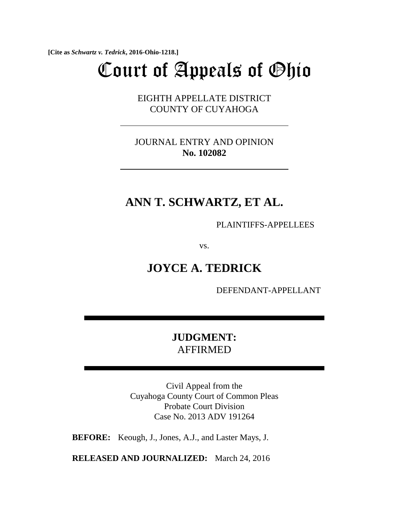**[Cite as** *Schwartz v. Tedrick***, 2016-Ohio-1218.]**

# Court of Appeals of Ohio

EIGHTH APPELLATE DISTRICT COUNTY OF CUYAHOGA

JOURNAL ENTRY AND OPINION **No. 102082**

# **ANN T. SCHWARTZ, ET AL.**

PLAINTIFFS-APPELLEES

vs.

# **JOYCE A. TEDRICK**

DEFENDANT-APPELLANT

## **JUDGMENT:**  AFFIRMED

Civil Appeal from the Cuyahoga County Court of Common Pleas Probate Court Division Case No. 2013 ADV 191264

**BEFORE:** Keough, J., Jones, A.J., and Laster Mays, J.

**RELEASED AND JOURNALIZED:** March 24, 2016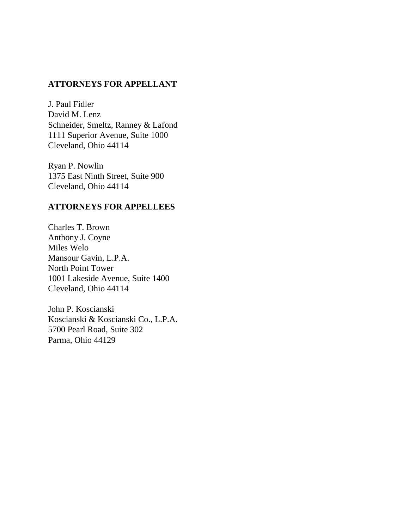## **ATTORNEYS FOR APPELLANT**

J. Paul Fidler David M. Lenz Schneider, Smeltz, Ranney & Lafond 1111 Superior Avenue, Suite 1000 Cleveland, Ohio 44114

Ryan P. Nowlin 1375 East Ninth Street, Suite 900 Cleveland, Ohio 44114

## **ATTORNEYS FOR APPELLEES**

Charles T. Brown Anthony J. Coyne Miles Welo Mansour Gavin, L.P.A. North Point Tower 1001 Lakeside Avenue, Suite 1400 Cleveland, Ohio 44114

John P. Koscianski Koscianski & Koscianski Co., L.P.A. 5700 Pearl Road, Suite 302 Parma, Ohio 44129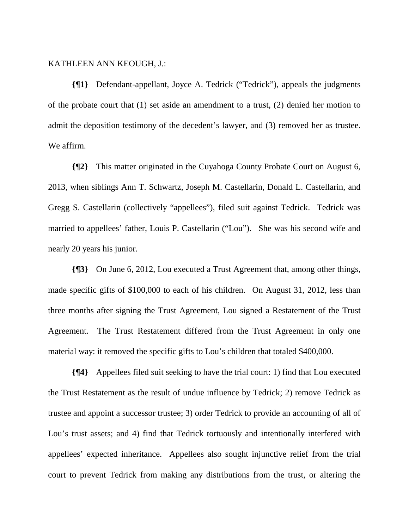### KATHLEEN ANN KEOUGH, J.:

**{¶1}** Defendant-appellant, Joyce A. Tedrick ("Tedrick"), appeals the judgments of the probate court that (1) set aside an amendment to a trust, (2) denied her motion to admit the deposition testimony of the decedent's lawyer, and (3) removed her as trustee. We affirm.

**{¶2}** This matter originated in the Cuyahoga County Probate Court on August 6, 2013, when siblings Ann T. Schwartz, Joseph M. Castellarin, Donald L. Castellarin, and Gregg S. Castellarin (collectively "appellees"), filed suit against Tedrick. Tedrick was married to appellees' father, Louis P. Castellarin ("Lou"). She was his second wife and nearly 20 years his junior.

**{¶3}** On June 6, 2012, Lou executed a Trust Agreement that, among other things, made specific gifts of \$100,000 to each of his children. On August 31, 2012, less than three months after signing the Trust Agreement, Lou signed a Restatement of the Trust Agreement. The Trust Restatement differed from the Trust Agreement in only one material way: it removed the specific gifts to Lou's children that totaled \$400,000.

**{¶4}** Appellees filed suit seeking to have the trial court: 1) find that Lou executed the Trust Restatement as the result of undue influence by Tedrick; 2) remove Tedrick as trustee and appoint a successor trustee; 3) order Tedrick to provide an accounting of all of Lou's trust assets; and 4) find that Tedrick tortuously and intentionally interfered with appellees' expected inheritance. Appellees also sought injunctive relief from the trial court to prevent Tedrick from making any distributions from the trust, or altering the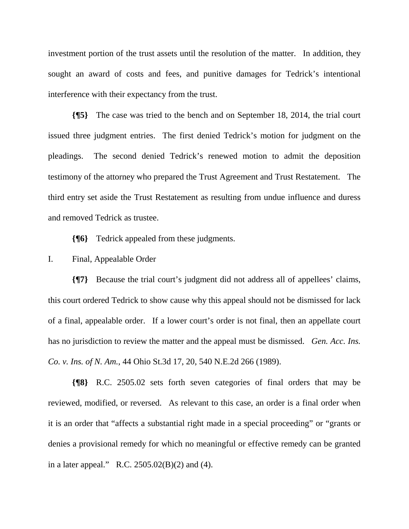investment portion of the trust assets until the resolution of the matter. In addition, they sought an award of costs and fees, and punitive damages for Tedrick's intentional interference with their expectancy from the trust.

**{¶5}** The case was tried to the bench and on September 18, 2014, the trial court issued three judgment entries. The first denied Tedrick's motion for judgment on the pleadings. The second denied Tedrick's renewed motion to admit the deposition testimony of the attorney who prepared the Trust Agreement and Trust Restatement. The third entry set aside the Trust Restatement as resulting from undue influence and duress and removed Tedrick as trustee.

**{¶6}** Tedrick appealed from these judgments.

I. Final, Appealable Order

**{¶7}** Because the trial court's judgment did not address all of appellees' claims, this court ordered Tedrick to show cause why this appeal should not be dismissed for lack of a final, appealable order. If a lower court's order is not final, then an appellate court has no jurisdiction to review the matter and the appeal must be dismissed. *Gen. Acc. Ins. Co. v. Ins. of N. Am.*, 44 Ohio St.3d 17, 20, 540 N.E.2d 266 (1989).

**{¶8}** R.C. 2505.02 sets forth seven categories of final orders that may be reviewed, modified, or reversed. As relevant to this case, an order is a final order when it is an order that "affects a substantial right made in a special proceeding" or "grants or denies a provisional remedy for which no meaningful or effective remedy can be granted in a later appeal." R.C. 2505.02(B)(2) and (4).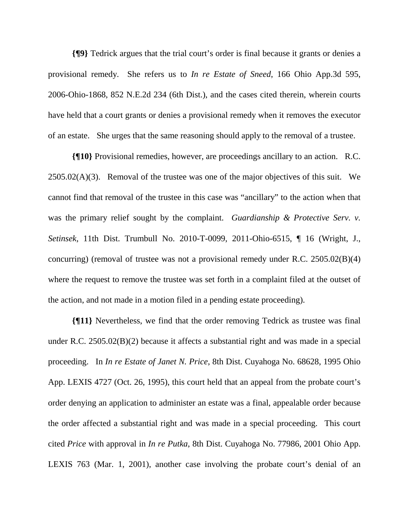**{¶9}** Tedrick argues that the trial court's order is final because it grants or denies a provisional remedy. She refers us to *In re Estate of Sneed*, 166 Ohio App.3d 595, 2006-Ohio-1868, 852 N.E.2d 234 (6th Dist.), and the cases cited therein, wherein courts have held that a court grants or denies a provisional remedy when it removes the executor of an estate. She urges that the same reasoning should apply to the removal of a trustee.

**{¶10}** Provisional remedies, however, are proceedings ancillary to an action. R.C.  $2505.02(A)(3)$ . Removal of the trustee was one of the major objectives of this suit. We cannot find that removal of the trustee in this case was "ancillary" to the action when that was the primary relief sought by the complaint. *Guardianship & Protective Serv. v. Setinsek*, 11th Dist. Trumbull No. 2010-T-0099, 2011-Ohio-6515, ¶ 16 (Wright, J., concurring) (removal of trustee was not a provisional remedy under R.C. 2505.02(B)(4) where the request to remove the trustee was set forth in a complaint filed at the outset of the action, and not made in a motion filed in a pending estate proceeding).

**{¶11}** Nevertheless, we find that the order removing Tedrick as trustee was final under R.C. 2505.02(B)(2) because it affects a substantial right and was made in a special proceeding. In *In re Estate of Janet N. Price*, 8th Dist. Cuyahoga No. 68628, 1995 Ohio App. LEXIS 4727 (Oct. 26, 1995), this court held that an appeal from the probate court's order denying an application to administer an estate was a final, appealable order because the order affected a substantial right and was made in a special proceeding. This court cited *Price* with approval in *In re Putka*, 8th Dist. Cuyahoga No. 77986, 2001 Ohio App. LEXIS 763 (Mar. 1, 2001), another case involving the probate court's denial of an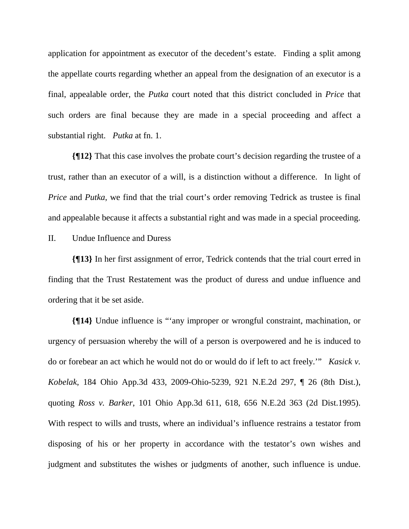application for appointment as executor of the decedent's estate. Finding a split among the appellate courts regarding whether an appeal from the designation of an executor is a final, appealable order, the *Putka* court noted that this district concluded in *Price* that such orders are final because they are made in a special proceeding and affect a substantial right. *Putka* at fn. 1.

**{¶12}** That this case involves the probate court's decision regarding the trustee of a trust, rather than an executor of a will, is a distinction without a difference. In light of *Price* and *Putka*, we find that the trial court's order removing Tedrick as trustee is final and appealable because it affects a substantial right and was made in a special proceeding.

### II. Undue Influence and Duress

**{¶13}** In her first assignment of error, Tedrick contends that the trial court erred in finding that the Trust Restatement was the product of duress and undue influence and ordering that it be set aside.

**{¶14}** Undue influence is "'any improper or wrongful constraint, machination, or urgency of persuasion whereby the will of a person is overpowered and he is induced to do or forebear an act which he would not do or would do if left to act freely.'" *Kasick v. Kobelak*, 184 Ohio App.3d 433, 2009-Ohio-5239, 921 N.E.2d 297, ¶ 26 (8th Dist.), quoting *Ross v. Barker*, 101 Ohio App.3d 611, 618, 656 N.E.2d 363 (2d Dist.1995). With respect to wills and trusts, where an individual's influence restrains a testator from disposing of his or her property in accordance with the testator's own wishes and judgment and substitutes the wishes or judgments of another, such influence is undue.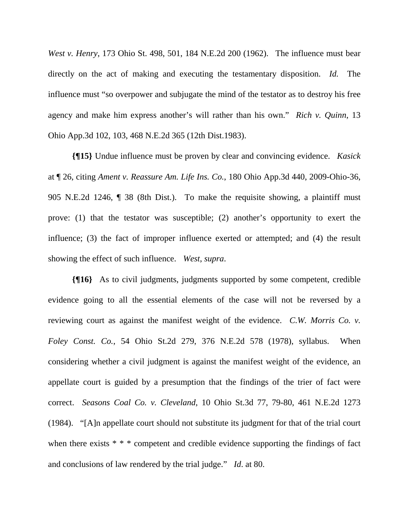*West v. Henry*, 173 Ohio St. 498, 501, 184 N.E.2d 200 (1962). The influence must bear directly on the act of making and executing the testamentary disposition. *Id.* The influence must "so overpower and subjugate the mind of the testator as to destroy his free agency and make him express another's will rather than his own." *Rich v. Quinn*, 13 Ohio App.3d 102, 103, 468 N.E.2d 365 (12th Dist.1983).

**{¶15}** Undue influence must be proven by clear and convincing evidence. *Kasick* at ¶ 26, citing *Ament v. Reassure Am. Life Ins. Co.*, 180 Ohio App.3d 440, 2009-Ohio-36, 905 N.E.2d 1246, ¶ 38 (8th Dist.). To make the requisite showing, a plaintiff must prove: (1) that the testator was susceptible; (2) another's opportunity to exert the influence; (3) the fact of improper influence exerted or attempted; and (4) the result showing the effect of such influence. *West*, *supra*.

**{¶16}** As to civil judgments, judgments supported by some competent, credible evidence going to all the essential elements of the case will not be reversed by a reviewing court as against the manifest weight of the evidence. *C.W. Morris Co. v. Foley Const. Co.*, 54 Ohio St.2d 279, 376 N.E.2d 578 (1978), syllabus. When considering whether a civil judgment is against the manifest weight of the evidence, an appellate court is guided by a presumption that the findings of the trier of fact were correct. *Seasons Coal Co. v. Cleveland*, 10 Ohio St.3d 77, 79-80, 461 N.E.2d 1273 (1984). "[A]n appellate court should not substitute its judgment for that of the trial court when there exists \* \* \* competent and credible evidence supporting the findings of fact and conclusions of law rendered by the trial judge." *Id*. at 80.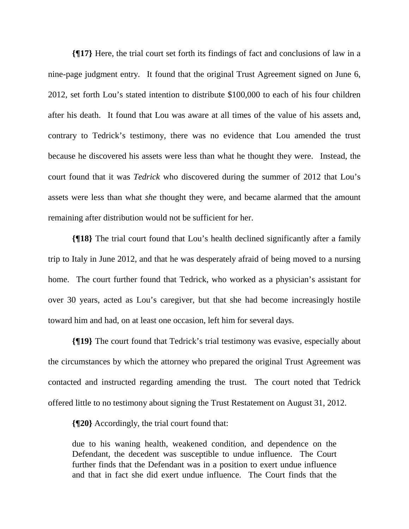**{¶17}** Here, the trial court set forth its findings of fact and conclusions of law in a nine-page judgment entry. It found that the original Trust Agreement signed on June 6, 2012, set forth Lou's stated intention to distribute \$100,000 to each of his four children after his death. It found that Lou was aware at all times of the value of his assets and, contrary to Tedrick's testimony, there was no evidence that Lou amended the trust because he discovered his assets were less than what he thought they were. Instead, the court found that it was *Tedrick* who discovered during the summer of 2012 that Lou's assets were less than what *she* thought they were, and became alarmed that the amount remaining after distribution would not be sufficient for her.

**{¶18}** The trial court found that Lou's health declined significantly after a family trip to Italy in June 2012, and that he was desperately afraid of being moved to a nursing home. The court further found that Tedrick, who worked as a physician's assistant for over 30 years, acted as Lou's caregiver, but that she had become increasingly hostile toward him and had, on at least one occasion, left him for several days.

**{¶19}** The court found that Tedrick's trial testimony was evasive, especially about the circumstances by which the attorney who prepared the original Trust Agreement was contacted and instructed regarding amending the trust. The court noted that Tedrick offered little to no testimony about signing the Trust Restatement on August 31, 2012.

**{¶20}** Accordingly, the trial court found that:

due to his waning health, weakened condition, and dependence on the Defendant, the decedent was susceptible to undue influence. The Court further finds that the Defendant was in a position to exert undue influence and that in fact she did exert undue influence. The Court finds that the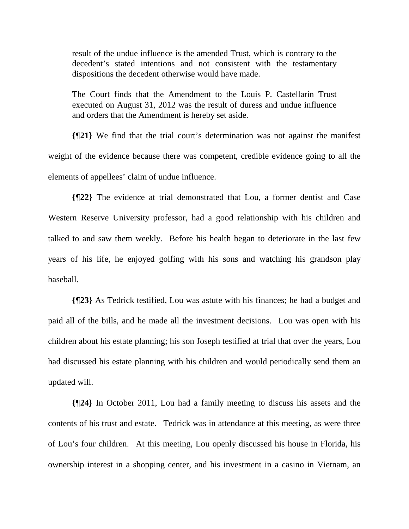result of the undue influence is the amended Trust, which is contrary to the decedent's stated intentions and not consistent with the testamentary dispositions the decedent otherwise would have made.

The Court finds that the Amendment to the Louis P. Castellarin Trust executed on August 31, 2012 was the result of duress and undue influence and orders that the Amendment is hereby set aside.

**{¶21}** We find that the trial court's determination was not against the manifest weight of the evidence because there was competent, credible evidence going to all the elements of appellees' claim of undue influence.

**{¶22}** The evidence at trial demonstrated that Lou, a former dentist and Case Western Reserve University professor, had a good relationship with his children and talked to and saw them weekly. Before his health began to deteriorate in the last few years of his life, he enjoyed golfing with his sons and watching his grandson play baseball.

**{¶23}** As Tedrick testified, Lou was astute with his finances; he had a budget and paid all of the bills, and he made all the investment decisions. Lou was open with his children about his estate planning; his son Joseph testified at trial that over the years, Lou had discussed his estate planning with his children and would periodically send them an updated will.

**{¶24}** In October 2011, Lou had a family meeting to discuss his assets and the contents of his trust and estate. Tedrick was in attendance at this meeting, as were three of Lou's four children. At this meeting, Lou openly discussed his house in Florida, his ownership interest in a shopping center, and his investment in a casino in Vietnam, an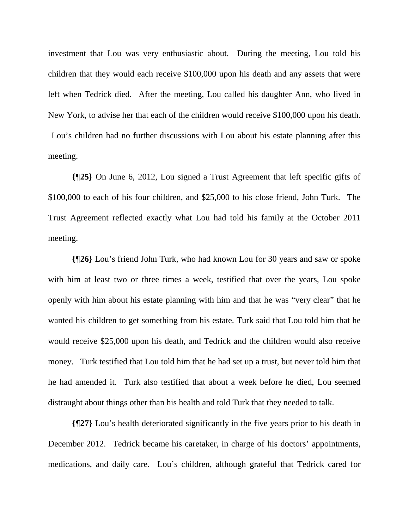investment that Lou was very enthusiastic about. During the meeting, Lou told his children that they would each receive \$100,000 upon his death and any assets that were left when Tedrick died. After the meeting, Lou called his daughter Ann, who lived in New York, to advise her that each of the children would receive \$100,000 upon his death.

 Lou's children had no further discussions with Lou about his estate planning after this meeting.

**{¶25}** On June 6, 2012, Lou signed a Trust Agreement that left specific gifts of \$100,000 to each of his four children, and \$25,000 to his close friend, John Turk. The Trust Agreement reflected exactly what Lou had told his family at the October 2011 meeting.

**{¶26}** Lou's friend John Turk, who had known Lou for 30 years and saw or spoke with him at least two or three times a week, testified that over the years, Lou spoke openly with him about his estate planning with him and that he was "very clear" that he wanted his children to get something from his estate. Turk said that Lou told him that he would receive \$25,000 upon his death, and Tedrick and the children would also receive money. Turk testified that Lou told him that he had set up a trust, but never told him that he had amended it. Turk also testified that about a week before he died, Lou seemed distraught about things other than his health and told Turk that they needed to talk.

**{¶27}** Lou's health deteriorated significantly in the five years prior to his death in December 2012. Tedrick became his caretaker, in charge of his doctors' appointments, medications, and daily care. Lou's children, although grateful that Tedrick cared for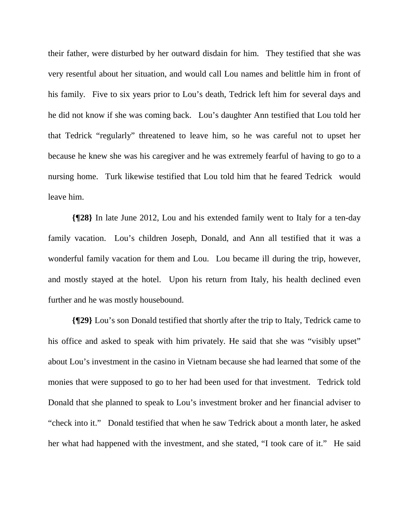their father, were disturbed by her outward disdain for him. They testified that she was very resentful about her situation, and would call Lou names and belittle him in front of his family. Five to six years prior to Lou's death, Tedrick left him for several days and he did not know if she was coming back. Lou's daughter Ann testified that Lou told her that Tedrick "regularly" threatened to leave him, so he was careful not to upset her because he knew she was his caregiver and he was extremely fearful of having to go to a nursing home. Turk likewise testified that Lou told him that he feared Tedrick would leave him.

**{¶28}** In late June 2012, Lou and his extended family went to Italy for a ten-day family vacation. Lou's children Joseph, Donald, and Ann all testified that it was a wonderful family vacation for them and Lou. Lou became ill during the trip, however, and mostly stayed at the hotel. Upon his return from Italy, his health declined even further and he was mostly housebound.

**{¶29}** Lou's son Donald testified that shortly after the trip to Italy, Tedrick came to his office and asked to speak with him privately. He said that she was "visibly upset" about Lou's investment in the casino in Vietnam because she had learned that some of the monies that were supposed to go to her had been used for that investment. Tedrick told Donald that she planned to speak to Lou's investment broker and her financial adviser to "check into it." Donald testified that when he saw Tedrick about a month later, he asked her what had happened with the investment, and she stated, "I took care of it." He said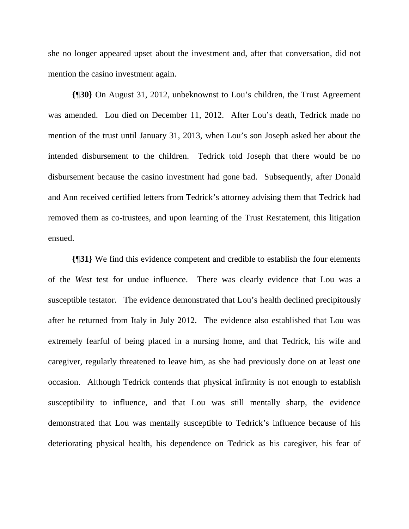she no longer appeared upset about the investment and, after that conversation, did not mention the casino investment again.

**{¶30}** On August 31, 2012, unbeknownst to Lou's children, the Trust Agreement was amended. Lou died on December 11, 2012. After Lou's death, Tedrick made no mention of the trust until January 31, 2013, when Lou's son Joseph asked her about the intended disbursement to the children. Tedrick told Joseph that there would be no disbursement because the casino investment had gone bad. Subsequently, after Donald and Ann received certified letters from Tedrick's attorney advising them that Tedrick had removed them as co-trustees, and upon learning of the Trust Restatement, this litigation ensued.

**{¶31}** We find this evidence competent and credible to establish the four elements of the *West* test for undue influence. There was clearly evidence that Lou was a susceptible testator. The evidence demonstrated that Lou's health declined precipitously after he returned from Italy in July 2012. The evidence also established that Lou was extremely fearful of being placed in a nursing home, and that Tedrick, his wife and caregiver, regularly threatened to leave him, as she had previously done on at least one occasion. Although Tedrick contends that physical infirmity is not enough to establish susceptibility to influence, and that Lou was still mentally sharp, the evidence demonstrated that Lou was mentally susceptible to Tedrick's influence because of his deteriorating physical health, his dependence on Tedrick as his caregiver, his fear of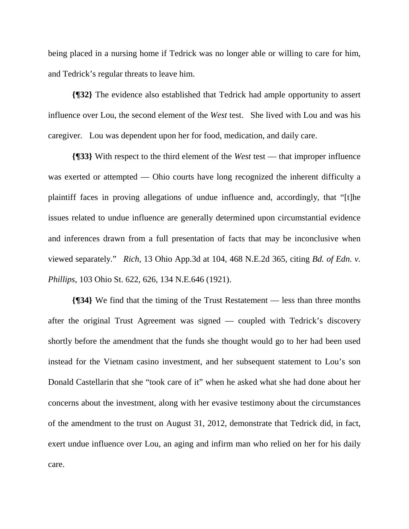being placed in a nursing home if Tedrick was no longer able or willing to care for him, and Tedrick's regular threats to leave him.

**{¶32}** The evidence also established that Tedrick had ample opportunity to assert influence over Lou, the second element of the *West* test. She lived with Lou and was his caregiver. Lou was dependent upon her for food, medication, and daily care.

**{¶33}** With respect to the third element of the *West* test — that improper influence was exerted or attempted — Ohio courts have long recognized the inherent difficulty a plaintiff faces in proving allegations of undue influence and, accordingly, that "[t]he issues related to undue influence are generally determined upon circumstantial evidence and inferences drawn from a full presentation of facts that may be inconclusive when viewed separately." *Rich,* 13 Ohio App.3d at 104, 468 N.E.2d 365, citing *Bd. of Edn. v. Phillips*, 103 Ohio St. 622, 626, 134 N.E.646 (1921).

**{¶34}** We find that the timing of the Trust Restatement — less than three months after the original Trust Agreement was signed — coupled with Tedrick's discovery shortly before the amendment that the funds she thought would go to her had been used instead for the Vietnam casino investment, and her subsequent statement to Lou's son Donald Castellarin that she "took care of it" when he asked what she had done about her concerns about the investment, along with her evasive testimony about the circumstances of the amendment to the trust on August 31, 2012, demonstrate that Tedrick did, in fact, exert undue influence over Lou, an aging and infirm man who relied on her for his daily care.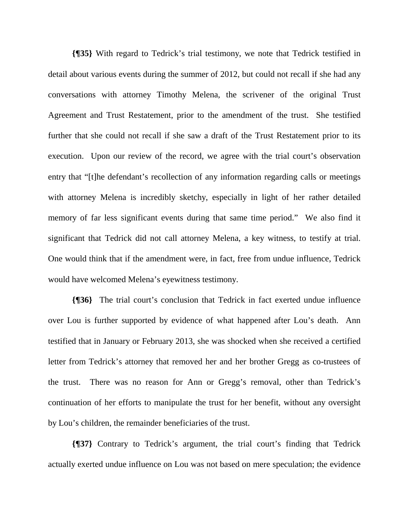**{¶35}** With regard to Tedrick's trial testimony, we note that Tedrick testified in detail about various events during the summer of 2012, but could not recall if she had any conversations with attorney Timothy Melena, the scrivener of the original Trust Agreement and Trust Restatement, prior to the amendment of the trust. She testified further that she could not recall if she saw a draft of the Trust Restatement prior to its execution. Upon our review of the record, we agree with the trial court's observation entry that "[t]he defendant's recollection of any information regarding calls or meetings with attorney Melena is incredibly sketchy, especially in light of her rather detailed memory of far less significant events during that same time period." We also find it significant that Tedrick did not call attorney Melena, a key witness, to testify at trial. One would think that if the amendment were, in fact, free from undue influence, Tedrick would have welcomed Melena's eyewitness testimony.

**{¶36}** The trial court's conclusion that Tedrick in fact exerted undue influence over Lou is further supported by evidence of what happened after Lou's death. Ann testified that in January or February 2013, she was shocked when she received a certified letter from Tedrick's attorney that removed her and her brother Gregg as co-trustees of the trust. There was no reason for Ann or Gregg's removal, other than Tedrick's continuation of her efforts to manipulate the trust for her benefit, without any oversight by Lou's children, the remainder beneficiaries of the trust.

**{¶37}** Contrary to Tedrick's argument, the trial court's finding that Tedrick actually exerted undue influence on Lou was not based on mere speculation; the evidence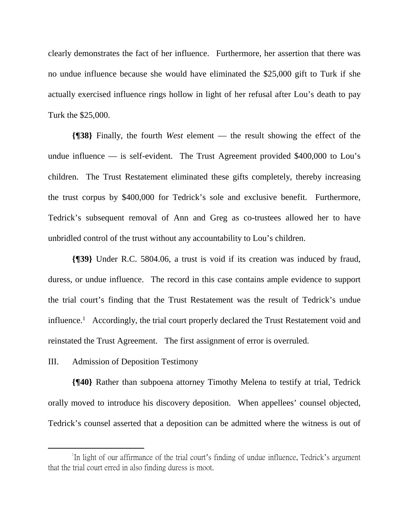clearly demonstrates the fact of her influence. Furthermore, her assertion that there was no undue influence because she would have eliminated the \$25,000 gift to Turk if she actually exercised influence rings hollow in light of her refusal after Lou's death to pay Turk the \$25,000.

**{¶38}** Finally, the fourth *West* element — the result showing the effect of the undue influence — is self-evident. The Trust Agreement provided  $$400,000$  to Lou's children. The Trust Restatement eliminated these gifts completely, thereby increasing the trust corpus by \$400,000 for Tedrick's sole and exclusive benefit. Furthermore, Tedrick's subsequent removal of Ann and Greg as co-trustees allowed her to have unbridled control of the trust without any accountability to Lou's children.

**{¶39}** Under R.C. 5804.06, a trust is void if its creation was induced by fraud, duress, or undue influence. The record in this case contains ample evidence to support the trial court's finding that the Trust Restatement was the result of Tedrick's undue influence.<sup>1</sup> Accordingly, the trial court properly declared the Trust Restatement void and reinstated the Trust Agreement. The first assignment of error is overruled.

#### III. Admission of Deposition Testimony

1

**{¶40}** Rather than subpoena attorney Timothy Melena to testify at trial, Tedrick orally moved to introduce his discovery deposition. When appellees' counsel objected, Tedrick's counsel asserted that a deposition can be admitted where the witness is out of

In light of our affirmance of the trial court's finding of undue influence, Tedrick's argument that the trial court erred in also finding duress is moot.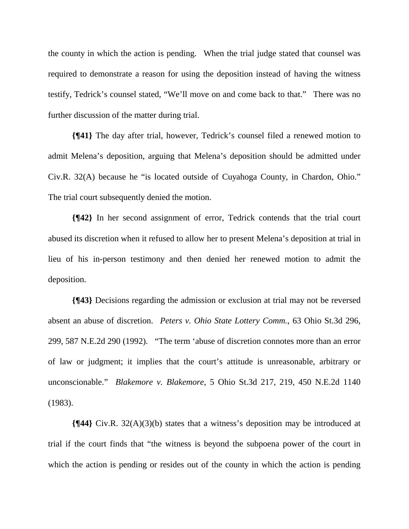the county in which the action is pending. When the trial judge stated that counsel was required to demonstrate a reason for using the deposition instead of having the witness testify, Tedrick's counsel stated, "We'll move on and come back to that." There was no further discussion of the matter during trial.

**{¶41}** The day after trial, however, Tedrick's counsel filed a renewed motion to admit Melena's deposition, arguing that Melena's deposition should be admitted under Civ.R. 32(A) because he "is located outside of Cuyahoga County, in Chardon, Ohio." The trial court subsequently denied the motion.

**{¶42}** In her second assignment of error, Tedrick contends that the trial court abused its discretion when it refused to allow her to present Melena's deposition at trial in lieu of his in-person testimony and then denied her renewed motion to admit the deposition.

**{¶43}** Decisions regarding the admission or exclusion at trial may not be reversed absent an abuse of discretion. *Peters v. Ohio State Lottery Comm.*, 63 Ohio St.3d 296, 299, 587 N.E.2d 290 (1992). "The term 'abuse of discretion connotes more than an error of law or judgment; it implies that the court's attitude is unreasonable, arbitrary or unconscionable." *Blakemore v. Blakemore*, 5 Ohio St.3d 217, 219, 450 N.E.2d 1140 (1983).

**{¶44}** Civ.R. 32(A)(3)(b) states that a witness's deposition may be introduced at trial if the court finds that "the witness is beyond the subpoena power of the court in which the action is pending or resides out of the county in which the action is pending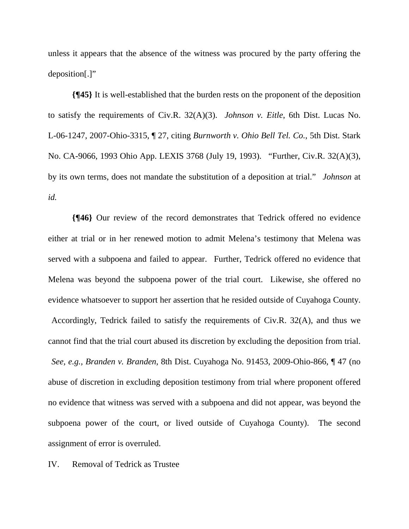unless it appears that the absence of the witness was procured by the party offering the deposition[.]"

**{¶45}** It is well-established that the burden rests on the proponent of the deposition to satisfy the requirements of Civ.R. 32(A)(3). *Johnson v. Eitle*, 6th Dist. Lucas No. L-06-1247, 2007-Ohio-3315, ¶ 27, citing *Burnworth v. Ohio Bell Tel. Co.*, 5th Dist. Stark No. CA-9066, 1993 Ohio App. LEXIS 3768 (July 19, 1993). "Further, Civ.R. 32(A)(3), by its own terms, does not mandate the substitution of a deposition at trial." *Johnson* at *id.* 

**{¶46}** Our review of the record demonstrates that Tedrick offered no evidence either at trial or in her renewed motion to admit Melena's testimony that Melena was served with a subpoena and failed to appear. Further, Tedrick offered no evidence that Melena was beyond the subpoena power of the trial court. Likewise, she offered no evidence whatsoever to support her assertion that he resided outside of Cuyahoga County. Accordingly, Tedrick failed to satisfy the requirements of Civ.R. 32(A), and thus we cannot find that the trial court abused its discretion by excluding the deposition from trial. *See, e.g., Branden v. Branden*, 8th Dist. Cuyahoga No. 91453, 2009-Ohio-866, ¶ 47 (no abuse of discretion in excluding deposition testimony from trial where proponent offered no evidence that witness was served with a subpoena and did not appear, was beyond the subpoena power of the court, or lived outside of Cuyahoga County). The second assignment of error is overruled.

IV. Removal of Tedrick as Trustee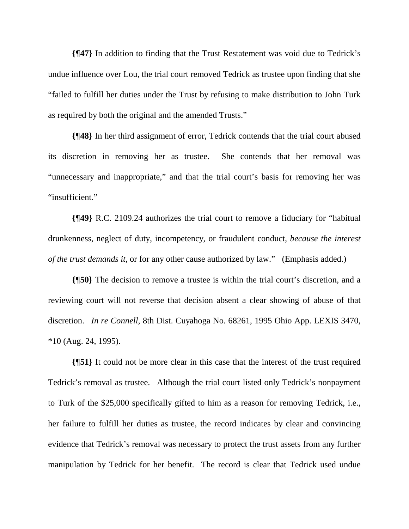**{¶47}** In addition to finding that the Trust Restatement was void due to Tedrick's undue influence over Lou, the trial court removed Tedrick as trustee upon finding that she "failed to fulfill her duties under the Trust by refusing to make distribution to John Turk as required by both the original and the amended Trusts."

**{¶48}** In her third assignment of error, Tedrick contends that the trial court abused its discretion in removing her as trustee. She contends that her removal was "unnecessary and inappropriate," and that the trial court's basis for removing her was "insufficient."

**{¶49}** R.C. 2109.24 authorizes the trial court to remove a fiduciary for "habitual drunkenness, neglect of duty, incompetency, or fraudulent conduct, *because the interest of the trust demands it*, or for any other cause authorized by law." (Emphasis added.)

**{¶50}** The decision to remove a trustee is within the trial court's discretion, and a reviewing court will not reverse that decision absent a clear showing of abuse of that discretion. *In re Connell*, 8th Dist. Cuyahoga No. 68261, 1995 Ohio App. LEXIS 3470, \*10 (Aug. 24, 1995).

**{¶51}** It could not be more clear in this case that the interest of the trust required Tedrick's removal as trustee. Although the trial court listed only Tedrick's nonpayment to Turk of the \$25,000 specifically gifted to him as a reason for removing Tedrick, i.e., her failure to fulfill her duties as trustee, the record indicates by clear and convincing evidence that Tedrick's removal was necessary to protect the trust assets from any further manipulation by Tedrick for her benefit. The record is clear that Tedrick used undue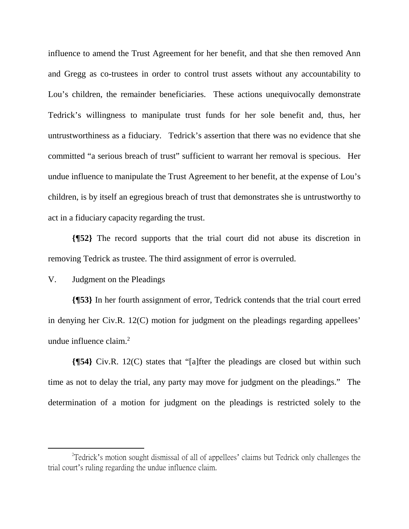influence to amend the Trust Agreement for her benefit, and that she then removed Ann and Gregg as co-trustees in order to control trust assets without any accountability to Lou's children, the remainder beneficiaries. These actions unequivocally demonstrate Tedrick's willingness to manipulate trust funds for her sole benefit and, thus, her untrustworthiness as a fiduciary. Tedrick's assertion that there was no evidence that she committed "a serious breach of trust" sufficient to warrant her removal is specious. Her undue influence to manipulate the Trust Agreement to her benefit, at the expense of Lou's children, is by itself an egregious breach of trust that demonstrates she is untrustworthy to act in a fiduciary capacity regarding the trust.

**{¶52}** The record supports that the trial court did not abuse its discretion in removing Tedrick as trustee. The third assignment of error is overruled.

V. Judgment on the Pleadings

1

**{¶53}** In her fourth assignment of error, Tedrick contends that the trial court erred in denying her Civ.R. 12(C) motion for judgment on the pleadings regarding appellees' undue influence claim.<sup>2</sup>

**{¶54}** Civ.R. 12(C) states that "[a]fter the pleadings are closed but within such time as not to delay the trial, any party may move for judgment on the pleadings." The determination of a motion for judgment on the pleadings is restricted solely to the

<sup>&</sup>lt;sup>2</sup> Tedrick's motion sought dismissal of all of appellees' claims but Tedrick only challenges the trial court's ruling regarding the undue influence claim.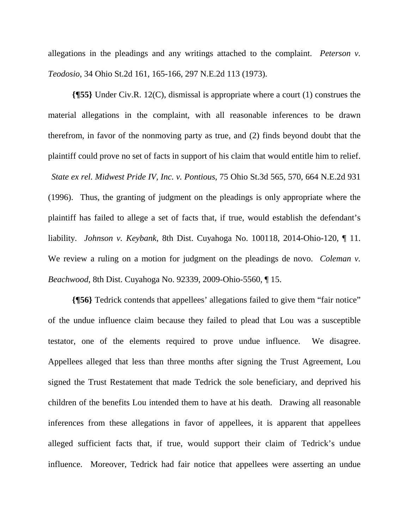allegations in the pleadings and any writings attached to the complaint. *Peterson v. Teodosio*, 34 Ohio St.2d 161, 165-166, 297 N.E.2d 113 (1973).

**{¶55}** Under Civ.R. 12(C), dismissal is appropriate where a court (1) construes the material allegations in the complaint, with all reasonable inferences to be drawn therefrom, in favor of the nonmoving party as true, and (2) finds beyond doubt that the plaintiff could prove no set of facts in support of his claim that would entitle him to relief. *State ex rel. Midwest Pride IV, Inc. v. Pontious*, 75 Ohio St.3d 565, 570, 664 N.E.2d 931 (1996). Thus, the granting of judgment on the pleadings is only appropriate where the plaintiff has failed to allege a set of facts that, if true, would establish the defendant's liability. *Johnson v. Keybank*, 8th Dist. Cuyahoga No. 100118, 2014-Ohio-120, ¶ 11. We review a ruling on a motion for judgment on the pleadings de novo. *Coleman v. Beachwood*, 8th Dist. Cuyahoga No. 92339, 2009-Ohio-5560, ¶ 15.

**{¶56}** Tedrick contends that appellees' allegations failed to give them "fair notice" of the undue influence claim because they failed to plead that Lou was a susceptible testator, one of the elements required to prove undue influence. We disagree. Appellees alleged that less than three months after signing the Trust Agreement, Lou signed the Trust Restatement that made Tedrick the sole beneficiary, and deprived his children of the benefits Lou intended them to have at his death. Drawing all reasonable inferences from these allegations in favor of appellees, it is apparent that appellees alleged sufficient facts that, if true, would support their claim of Tedrick's undue influence. Moreover, Tedrick had fair notice that appellees were asserting an undue